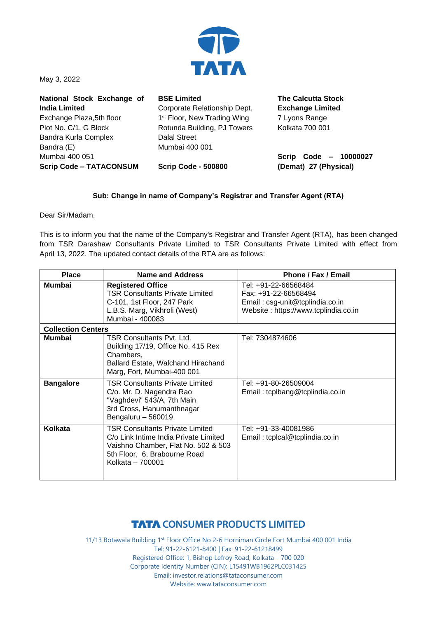

May 3, 2022

| National Stock Exchange of     | <b>BSE Limited</b>                      | <b>The Calcutta Stock</b> |
|--------------------------------|-----------------------------------------|---------------------------|
| <b>India Limited</b>           | Corporate Relationship Dept.            | <b>Exchange Limited</b>   |
| Exchange Plaza, 5th floor      | 1 <sup>st</sup> Floor, New Trading Wing | 7 Lyons Range             |
| Plot No. C/1, G Block          | Rotunda Building, PJ Towers             | Kolkata 700 001           |
| Bandra Kurla Complex           | <b>Dalal Street</b>                     |                           |
| Bandra (E)                     | Mumbai 400 001                          |                           |
| Mumbai 400 051                 |                                         | Scrip Code - 10000027     |
| <b>Scrip Code - TATACONSUM</b> | <b>Scrip Code - 500800</b>              | (Demat) 27 (Physical)     |

## **Sub: Change in name of Company's Registrar and Transfer Agent (RTA)**

Dear Sir/Madam,

This is to inform you that the name of the Company's Registrar and Transfer Agent (RTA), has been changed from TSR Darashaw Consultants Private Limited to TSR Consultants Private Limited with effect from April 13, 2022. The updated contact details of the RTA are as follows:

| <b>Place</b>              | Name and Address                                                                                                                                                           | Phone / Fax / Email                                                                                                     |  |  |
|---------------------------|----------------------------------------------------------------------------------------------------------------------------------------------------------------------------|-------------------------------------------------------------------------------------------------------------------------|--|--|
| <b>Mumbai</b>             | <b>Registered Office</b><br><b>TSR Consultants Private Limited</b><br>C-101, 1st Floor, 247 Park<br>L.B.S. Marg, Vikhroli (West)<br>Mumbai - 400083                        | Tel: +91-22-66568484<br>Fax: +91-22-66568494<br>Email: csg-unit@tcplindia.co.in<br>Website: https://www.tcplindia.co.in |  |  |
| <b>Collection Centers</b> |                                                                                                                                                                            |                                                                                                                         |  |  |
| Mumbai                    | TSR Consultants Pvt. Ltd.<br>Building 17/19, Office No. 415 Rex<br>Chambers,<br>Ballard Estate, Walchand Hirachand<br>Marg, Fort, Mumbai-400 001                           | Tel: 7304874606                                                                                                         |  |  |
| <b>Bangalore</b>          | <b>TSR Consultants Private Limited</b><br>C/o. Mr. D. Nagendra Rao<br>"Vaghdevi" 543/A, 7th Main<br>3rd Cross, Hanumanthnagar<br>Bengaluru - 560019                        | Tel: +91-80-26509004<br>Email: tcplbang@tcplindia.co.in                                                                 |  |  |
| Kolkata                   | <b>TSR Consultants Private Limited</b><br>C/o Link Intime India Private Limited<br>Vaishno Chamber, Flat No. 502 & 503<br>5th Floor, 6, Brabourne Road<br>Kolkata - 700001 | Tel: +91-33-40081986<br>Email: tcplcal@tcplindia.co.in                                                                  |  |  |

## **TATA CONSUMER PRODUCTS LIMITED**

11/13 Botawala Building 1st Floor Office No 2-6 Horniman Circle Fort Mumbai 400 001 India Tel: 91-22-6121-8400 | Fax: 91-22-61218499 Registered Office: 1, Bishop Lefroy Road, Kolkata – 700 020 Corporate Identity Number (CIN): L15491WB1962PLC031425 Email: investor.relations@tataconsumer.com Website: www.tataconsumer.com